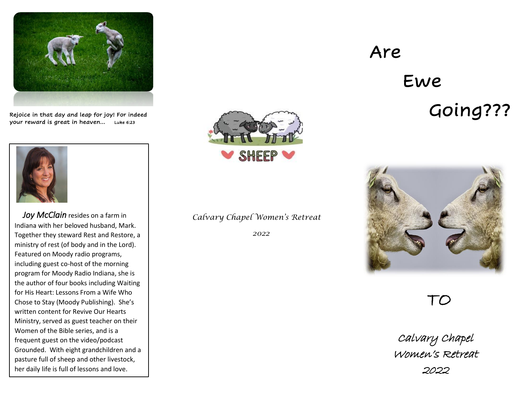

Rejoice in that day and leap for joy! For indeed your reward is great in heaven… Luke 6:23



*Joy McClain* resides on a farm in Indiana with her beloved husband, Mark. Together they steward Rest and Restore, a ministry of rest (of body and in the Lord). Featured on Moody radio programs, including guest co-host of the morning program for Moody Radio Indiana, she is the author of four books including Waiting for His Heart: Lessons From a Wife Who Chose to Stay (Moody Publishing). She's written content for Revive Our Hearts Ministry, served as guest teacher on their Women of the Bible series, and is a frequent guest on the video/podcast Grounded. With eight grandchildren and a pasture full of sheep and other livestock, her daily life is full of lessons and love.



## *Calvary Chapel Women's Retreat*

 *2022*

# Are

# Ewe Going???



TO

Calvary Chapel Women's Retreat 2022